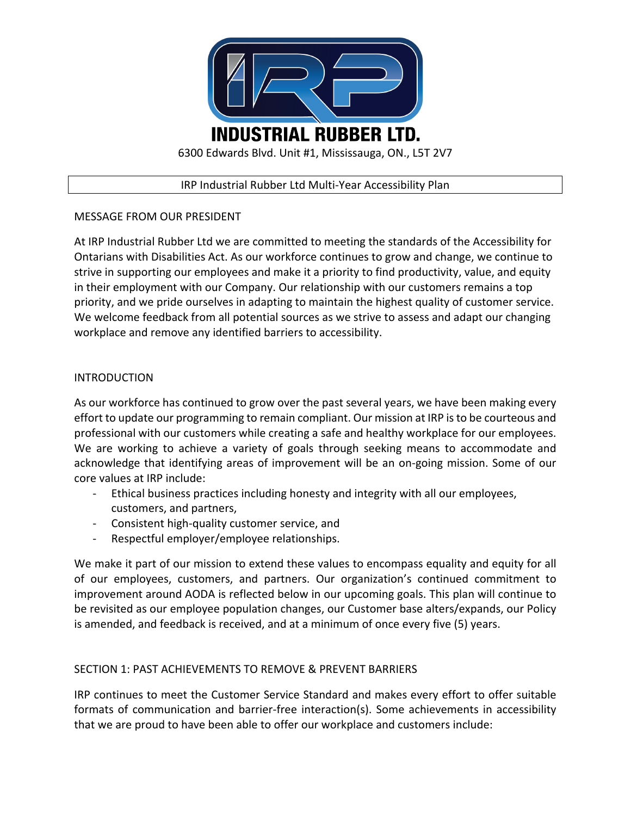

### IRP Industrial Rubber Ltd Multi-Year Accessibility Plan

# MESSAGE FROM OUR PRESIDENT

At IRP Industrial Rubber Ltd we are committed to meeting the standards of the Accessibility for Ontarians with Disabilities Act. As our workforce continues to grow and change, we continue to strive in supporting our employees and make it a priority to find productivity, value, and equity in their employment with our Company. Our relationship with our customers remains a top priority, and we pride ourselves in adapting to maintain the highest quality of customer service. We welcome feedback from all potential sources as we strive to assess and adapt our changing workplace and remove any identified barriers to accessibility.

# INTRODUCTION

As our workforce has continued to grow over the past several years, we have been making every effort to update our programming to remain compliant. Our mission at IRP is to be courteous and professional with our customers while creating a safe and healthy workplace for our employees. We are working to achieve a variety of goals through seeking means to accommodate and acknowledge that identifying areas of improvement will be an on-going mission. Some of our core values at IRP include:

- Ethical business practices including honesty and integrity with all our employees, customers, and partners,
- Consistent high-quality customer service, and
- Respectful employer/employee relationships.

We make it part of our mission to extend these values to encompass equality and equity for all of our employees, customers, and partners. Our organization's continued commitment to improvement around AODA is reflected below in our upcoming goals. This plan will continue to be revisited as our employee population changes, our Customer base alters/expands, our Policy is amended, and feedback is received, and at a minimum of once every five (5) years.

# SECTION 1: PAST ACHIEVEMENTS TO REMOVE & PREVENT BARRIERS

IRP continues to meet the Customer Service Standard and makes every effort to offer suitable formats of communication and barrier-free interaction(s). Some achievements in accessibility that we are proud to have been able to offer our workplace and customers include: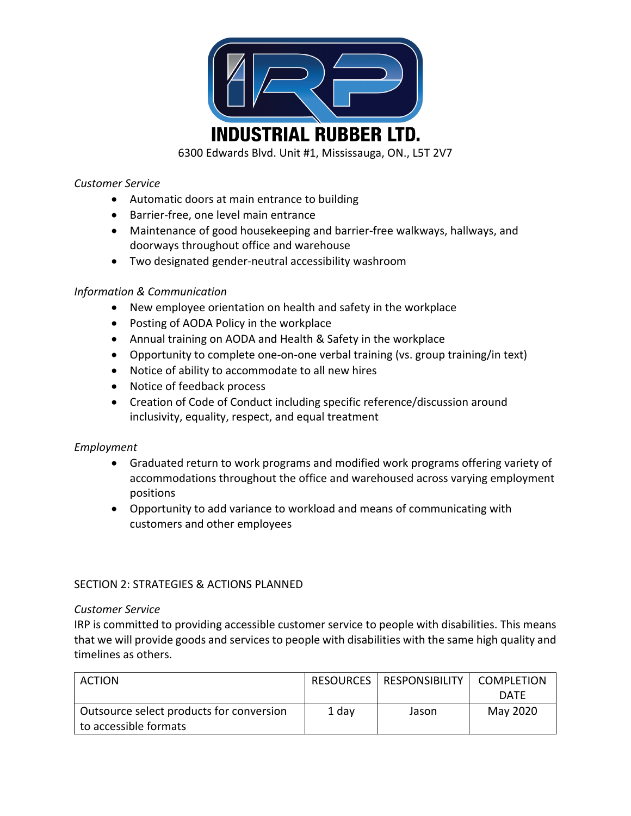

6300 Edwards Blvd. Unit #1, Mississauga, ON., L5T 2V7

### *Customer Service*

- Automatic doors at main entrance to building
- Barrier-free, one level main entrance
- Maintenance of good housekeeping and barrier-free walkways, hallways, and doorways throughout office and warehouse
- Two designated gender-neutral accessibility washroom

# *Information & Communication*

- New employee orientation on health and safety in the workplace
- Posting of AODA Policy in the workplace
- Annual training on AODA and Health & Safety in the workplace
- Opportunity to complete one-on-one verbal training (vs. group training/in text)
- Notice of ability to accommodate to all new hires
- Notice of feedback process
- Creation of Code of Conduct including specific reference/discussion around inclusivity, equality, respect, and equal treatment

# *Employment*

- Graduated return to work programs and modified work programs offering variety of accommodations throughout the office and warehoused across varying employment positions
- Opportunity to add variance to workload and means of communicating with customers and other employees

# SECTION 2: STRATEGIES & ACTIONS PLANNED

#### *Customer Service*

IRP is committed to providing accessible customer service to people with disabilities. This means that we will provide goods and services to people with disabilities with the same high quality and timelines as others.

| <b>ACTION</b>                            | <b>RESOURCES</b> | <b>RESPONSIBILITY</b> | <b>COMPLETION</b> |
|------------------------------------------|------------------|-----------------------|-------------------|
|                                          |                  |                       | <b>DATE</b>       |
| Outsource select products for conversion | 1 day            | Jason                 | May 2020          |
| to accessible formats                    |                  |                       |                   |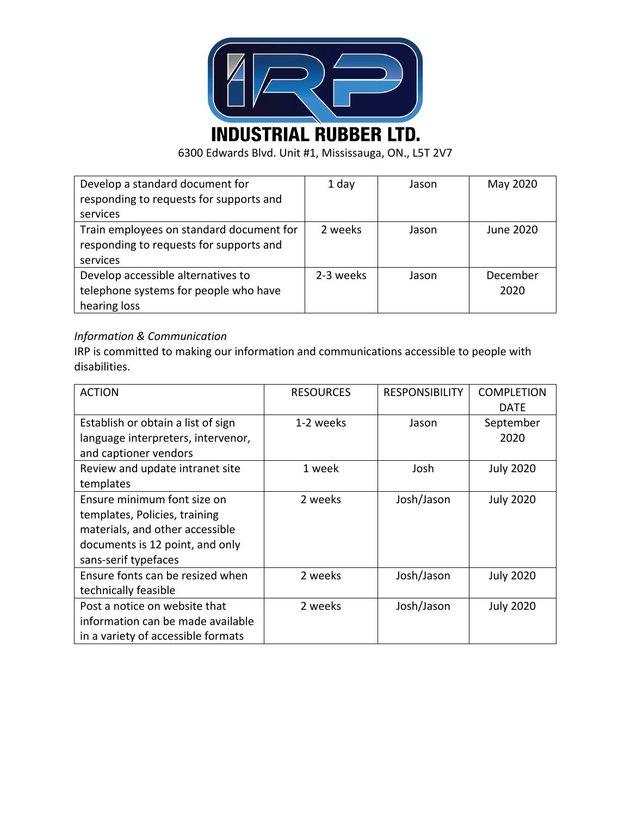

6300 Edwards Blvd. Unit #1, Mississauga, ON., L5T 2V7

| Develop a standard document for          | 1 day     | Jason | May 2020  |
|------------------------------------------|-----------|-------|-----------|
| responding to requests for supports and  |           |       |           |
| services                                 |           |       |           |
| Train employees on standard document for | 2 weeks   | Jason | June 2020 |
| responding to requests for supports and  |           |       |           |
| services                                 |           |       |           |
| Develop accessible alternatives to       | 2-3 weeks | Jason | December  |
| telephone systems for people who have    |           |       | 2020      |
| hearing loss                             |           |       |           |

# *Information & Communication*

IRP is committed to making our information and communications accessible to people with disabilities.

| <b>ACTION</b>                      | <b>RESOURCES</b> | <b>RESPONSIBILITY</b> | <b>COMPLETION</b> |
|------------------------------------|------------------|-----------------------|-------------------|
|                                    |                  |                       | <b>DATE</b>       |
| Establish or obtain a list of sign | 1-2 weeks        | Jason                 | September         |
| language interpreters, intervenor, |                  |                       | 2020              |
| and captioner vendors              |                  |                       |                   |
| Review and update intranet site    | 1 week           | Josh                  | <b>July 2020</b>  |
| templates                          |                  |                       |                   |
| Ensure minimum font size on        | 2 weeks          | Josh/Jason            | <b>July 2020</b>  |
| templates, Policies, training      |                  |                       |                   |
| materials, and other accessible    |                  |                       |                   |
| documents is 12 point, and only    |                  |                       |                   |
| sans-serif typefaces               |                  |                       |                   |
| Ensure fonts can be resized when   | 2 weeks          | Josh/Jason            | <b>July 2020</b>  |
| technically feasible               |                  |                       |                   |
| Post a notice on website that      | 2 weeks          | Josh/Jason            | <b>July 2020</b>  |
| information can be made available  |                  |                       |                   |
| in a variety of accessible formats |                  |                       |                   |